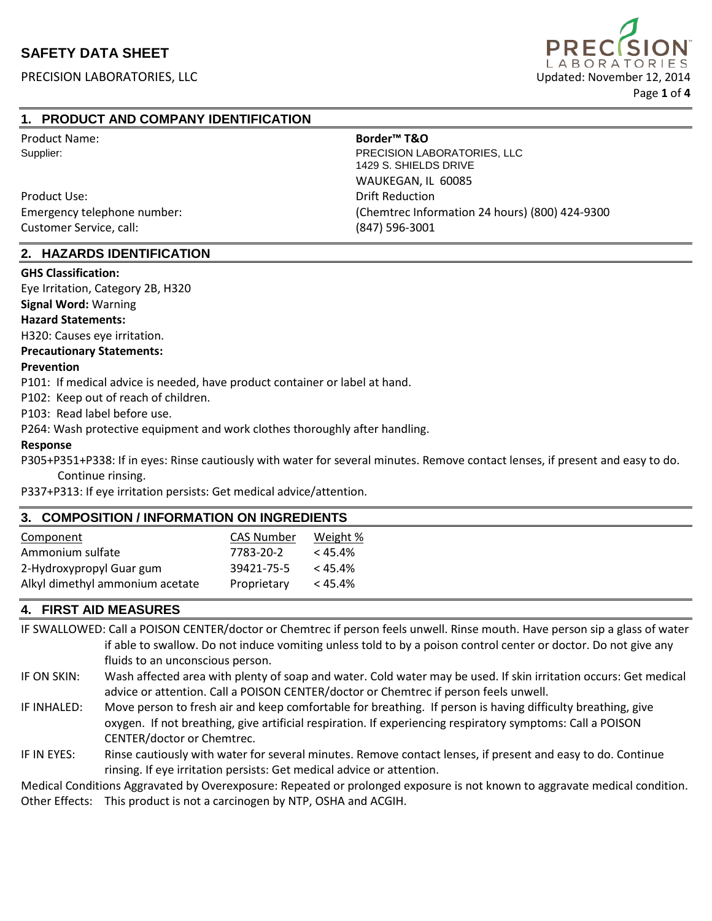

# **1. PRODUCT AND COMPANY IDENTIFICATION**

Product Name: **Border™ T&O**

Product Use: Drift Reduction Customer Service, call: (847) 596-3001

Supplier: PRECISION LABORATORIES, LLC 1429 S. SHIELDS DRIVE WAUKEGAN, IL 60085 Emergency telephone number: (Chemtrec Information 24 hours) (800) 424-9300

#### **2. HAZARDS IDENTIFICATION**

#### **GHS Classification:**

Eye Irritation, Category 2B, H320

**Signal Word:** Warning

#### **Hazard Statements:**

H320: Causes eye irritation.

#### **Precautionary Statements:**

#### **Prevention**

P101: If medical advice is needed, have product container or label at hand.

P102: Keep out of reach of children.

P103: Read label before use.

P264: Wash protective equipment and work clothes thoroughly after handling.

#### **Response**

P305+P351+P338: If in eyes: Rinse cautiously with water for several minutes. Remove contact lenses, if present and easy to do. Continue rinsing.

P337+P313: If eye irritation persists: Get medical advice/attention.

#### **3. COMPOSITION / INFORMATION ON INGREDIENTS**

| Component                       | CAS Number  | Weight %   |
|---------------------------------|-------------|------------|
| Ammonium sulfate                | 7783-20-2   | $< 45.4\%$ |
| 2-Hydroxypropyl Guar gum        | 39421-75-5  | $< 45.4\%$ |
| Alkyl dimethyl ammonium acetate | Proprietary | $< 45.4\%$ |

# **4. FIRST AID MEASURES**

IF SWALLOWED: Call a POISON CENTER/doctor or Chemtrec if person feels unwell. Rinse mouth. Have person sip a glass of water if able to swallow. Do not induce vomiting unless told to by a poison control center or doctor. Do not give any fluids to an unconscious person.

- IF ON SKIN: Wash affected area with plenty of soap and water. Cold water may be used. If skin irritation occurs: Get medical advice or attention. Call a POISON CENTER/doctor or Chemtrec if person feels unwell.
- IF INHALED: Move person to fresh air and keep comfortable for breathing. If person is having difficulty breathing, give oxygen. If not breathing, give artificial respiration. If experiencing respiratory symptoms: Call a POISON CENTER/doctor or Chemtrec.
- IF IN EYES: Rinse cautiously with water for several minutes. Remove contact lenses, if present and easy to do. Continue rinsing. If eye irritation persists: Get medical advice or attention.

Medical Conditions Aggravated by Overexposure: Repeated or prolonged exposure is not known to aggravate medical condition. Other Effects: This product is not a carcinogen by NTP, OSHA and ACGIH.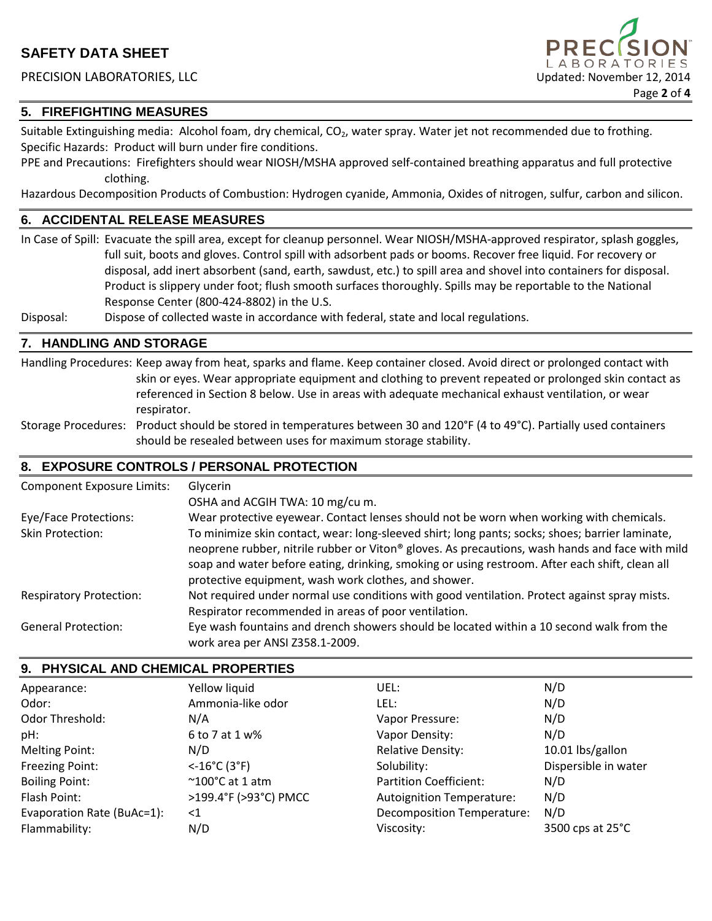## PRECISION LABORATORIES, LLC Updated: November 12, 2014

# **5. FIREFIGHTING MEASURES**

Suitable Extinguishing media: Alcohol foam, dry chemical, CO<sub>2</sub>, water spray. Water jet not recommended due to frothing. Specific Hazards: Product will burn under fire conditions.

PPE and Precautions: Firefighters should wear NIOSH/MSHA approved self-contained breathing apparatus and full protective clothing.

Page **2** of **4**

A B O R A T O R I E S

Hazardous Decomposition Products of Combustion: Hydrogen cyanide, Ammonia, Oxides of nitrogen, sulfur, carbon and silicon.

# **6. ACCIDENTAL RELEASE MEASURES**

In Case of Spill: Evacuate the spill area, except for cleanup personnel. Wear NIOSH/MSHA-approved respirator, splash goggles, full suit, boots and gloves. Control spill with adsorbent pads or booms. Recover free liquid. For recovery or disposal, add inert absorbent (sand, earth, sawdust, etc.) to spill area and shovel into containers for disposal. Product is slippery under foot; flush smooth surfaces thoroughly. Spills may be reportable to the National Response Center (800-424-8802) in the U.S.

Disposal: Dispose of collected waste in accordance with federal, state and local regulations.

## **7. HANDLING AND STORAGE**

Handling Procedures: Keep away from heat, sparks and flame. Keep container closed. Avoid direct or prolonged contact with skin or eyes. Wear appropriate equipment and clothing to prevent repeated or prolonged skin contact as referenced in Section 8 below. Use in areas with adequate mechanical exhaust ventilation, or wear respirator.

Storage Procedures: Product should be stored in temperatures between 30 and 120°F (4 to 49°C). Partially used containers should be resealed between uses for maximum storage stability.

# **8. EXPOSURE CONTROLS / PERSONAL PROTECTION**

| <b>Component Exposure Limits:</b> | Glycerin                                                                                                                                                                                                                                                                                                                                                     |
|-----------------------------------|--------------------------------------------------------------------------------------------------------------------------------------------------------------------------------------------------------------------------------------------------------------------------------------------------------------------------------------------------------------|
|                                   | OSHA and ACGIH TWA: 10 mg/cu m.                                                                                                                                                                                                                                                                                                                              |
| Eye/Face Protections:             | Wear protective eyewear. Contact lenses should not be worn when working with chemicals.                                                                                                                                                                                                                                                                      |
| Skin Protection:                  | To minimize skin contact, wear: long-sleeved shirt; long pants; socks; shoes; barrier laminate,<br>neoprene rubber, nitrile rubber or Viton® gloves. As precautions, wash hands and face with mild<br>soap and water before eating, drinking, smoking or using restroom. After each shift, clean all<br>protective equipment, wash work clothes, and shower. |
| <b>Respiratory Protection:</b>    | Not required under normal use conditions with good ventilation. Protect against spray mists.<br>Respirator recommended in areas of poor ventilation.                                                                                                                                                                                                         |
| <b>General Protection:</b>        | Eye wash fountains and drench showers should be located within a 10 second walk from the<br>work area per ANSI Z358.1-2009.                                                                                                                                                                                                                                  |

# **9. PHYSICAL AND CHEMICAL PROPERTIES**

| Appearance:                | Yellow liquid                       | UEL:                             | N/D                  |
|----------------------------|-------------------------------------|----------------------------------|----------------------|
| Odor:                      | Ammonia-like odor                   | LEL:                             | N/D                  |
| Odor Threshold:            | N/A                                 | Vapor Pressure:                  | N/D                  |
| pH:                        | 6 to 7 at 1 w%                      | Vapor Density:                   | N/D                  |
| <b>Melting Point:</b>      | N/D                                 | <b>Relative Density:</b>         | 10.01 lbs/gallon     |
| Freezing Point:            | $< 16^{\circ}$ C (3 $^{\circ}$ F)   | Solubility:                      | Dispersible in water |
| <b>Boiling Point:</b>      | $^{\sim}$ 100 $^{\circ}$ C at 1 atm | Partition Coefficient:           | N/D                  |
| Flash Point:               | >199.4°F (>93°C) PMCC               | <b>Autoignition Temperature:</b> | N/D                  |
| Evaporation Rate (BuAc=1): | $<$ 1                               | Decomposition Temperature:       | N/D                  |
| Flammability:              | N/D                                 | Viscosity:                       | 3500 cps at 25°C     |
|                            |                                     |                                  |                      |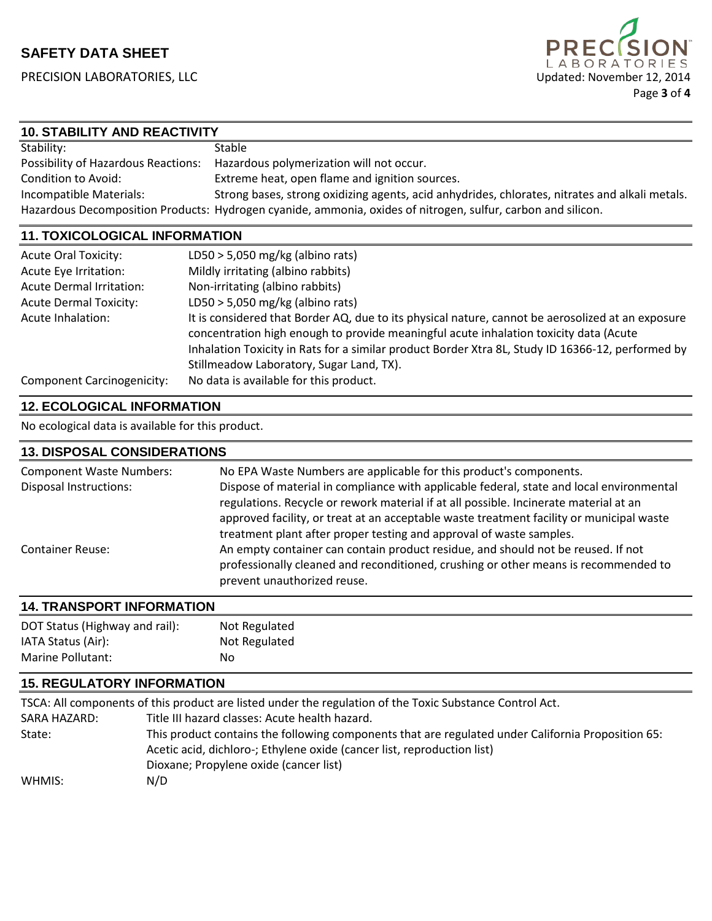

# **10. STABILITY AND REACTIVITY**

| Stability:                          | Stable                                                                                                       |
|-------------------------------------|--------------------------------------------------------------------------------------------------------------|
| Possibility of Hazardous Reactions: | Hazardous polymerization will not occur.                                                                     |
| Condition to Avoid:                 | Extreme heat, open flame and ignition sources.                                                               |
| Incompatible Materials:             | Strong bases, strong oxidizing agents, acid anhydrides, chlorates, nitrates and alkali metals.               |
|                                     | Hazardous Decomposition Products: Hydrogen cyanide, ammonia, oxides of nitrogen, sulfur, carbon and silicon. |

## **11. TOXICOLOGICAL INFORMATION**

| <b>Acute Oral Toxicity:</b>       | LD50 > 5,050 mg/kg (albino rats)                                                                                                                                                           |
|-----------------------------------|--------------------------------------------------------------------------------------------------------------------------------------------------------------------------------------------|
| Acute Eye Irritation:             | Mildly irritating (albino rabbits)                                                                                                                                                         |
| <b>Acute Dermal Irritation:</b>   | Non-irritating (albino rabbits)                                                                                                                                                            |
| <b>Acute Dermal Toxicity:</b>     | LD50 $>$ 5,050 mg/kg (albino rats)                                                                                                                                                         |
| Acute Inhalation:                 | It is considered that Border AQ, due to its physical nature, cannot be aerosolized at an exposure<br>concentration high enough to provide meaningful acute inhalation toxicity data (Acute |
|                                   | Inhalation Toxicity in Rats for a similar product Border Xtra 8L, Study ID 16366-12, performed by                                                                                          |
|                                   | Stillmeadow Laboratory, Sugar Land, TX).                                                                                                                                                   |
| <b>Component Carcinogenicity:</b> | No data is available for this product.                                                                                                                                                     |

# **12. ECOLOGICAL INFORMATION**

No ecological data is available for this product.

| <b>13. DISPOSAL CONSIDERATIONS</b> |                                                                                                                                                                                                                                                                                                                                                      |
|------------------------------------|------------------------------------------------------------------------------------------------------------------------------------------------------------------------------------------------------------------------------------------------------------------------------------------------------------------------------------------------------|
| <b>Component Waste Numbers:</b>    | No EPA Waste Numbers are applicable for this product's components.                                                                                                                                                                                                                                                                                   |
| <b>Disposal Instructions:</b>      | Dispose of material in compliance with applicable federal, state and local environmental<br>regulations. Recycle or rework material if at all possible. Incinerate material at an<br>approved facility, or treat at an acceptable waste treatment facility or municipal waste<br>treatment plant after proper testing and approval of waste samples. |
| <b>Container Reuse:</b>            | An empty container can contain product residue, and should not be reused. If not<br>professionally cleaned and reconditioned, crushing or other means is recommended to<br>prevent unauthorized reuse.                                                                                                                                               |

#### **14. TRANSPORT INFORMATION**

| DOT Status (Highway and rail): | Not Regulated |
|--------------------------------|---------------|
| IATA Status (Air):             | Not Regulated |
| Marine Pollutant:              | No            |

#### **15. REGULATORY INFORMATION**

|              | TSCA: All components of this product are listed under the regulation of the Toxic Substance Control Act. |
|--------------|----------------------------------------------------------------------------------------------------------|
| SARA HAZARD: | Title III hazard classes: Acute health hazard.                                                           |
| State:       | This product contains the following components that are regulated under California Proposition 65:       |
|              | Acetic acid, dichloro-; Ethylene oxide (cancer list, reproduction list)                                  |
|              | Dioxane; Propylene oxide (cancer list)                                                                   |
| WHMIS:       | N/D                                                                                                      |